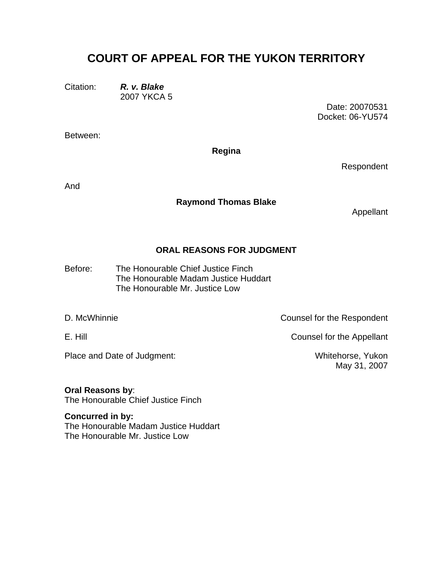## **COURT OF APPEAL FOR THE YUKON TERRITORY**

Citation: *R. v. Blake* 2007 YKCA 5

> Date: 20070531 Docket: 06-YU574

Between:

**Regina** 

Respondent

And

## **Raymond Thomas Blake**

Appellant

## **ORAL REASONS FOR JUDGMENT**

The Honourable Chief Justice Finch The Honourable Madam Justice Huddart Before: The Honourable Mr. Justice Low

Place and Date of Judgment: Whitehorse, Yukon

D. McWhinnie **Counsel for the Respondent** 

E. Hill Counsel for the Appellant

May 31, 2007

**Oral Reasons by**: The Honourable Chief Justice Finch

**Concurred in by:**  The Honourable Madam Justice Huddart The Honourable Mr. Justice Low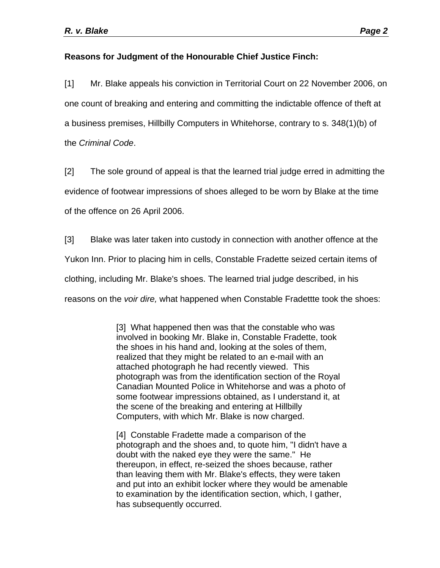## **Reasons for Judgment of the Honourable Chief Justice Finch:**

[1] Mr. Blake appeals his conviction in Territorial Court on 22 November 2006, on one count of breaking and entering and committing the indictable offence of theft at a business premises, Hillbilly Computers in Whitehorse, contrary to s. 348(1)(b) of the *Criminal Code*.

[2] The sole ground of appeal is that the learned trial judge erred in admitting the evidence of footwear impressions of shoes alleged to be worn by Blake at the time of the offence on 26 April 2006.

[3] Blake was later taken into custody in connection with another offence at the Yukon Inn. Prior to placing him in cells, Constable Fradette seized certain items of clothing, including Mr. Blake's shoes. The learned trial judge described, in his reasons on the *voir dire,* what happened when Constable Fradettte took the shoes:

> [3] What happened then was that the constable who was involved in booking Mr. Blake in, Constable Fradette, took the shoes in his hand and, looking at the soles of them, realized that they might be related to an e-mail with an attached photograph he had recently viewed. This photograph was from the identification section of the Royal Canadian Mounted Police in Whitehorse and was a photo of some footwear impressions obtained, as I understand it, at the scene of the breaking and entering at Hillbilly Computers, with which Mr. Blake is now charged.

> [4] Constable Fradette made a comparison of the photograph and the shoes and, to quote him, "I didn't have a doubt with the naked eye they were the same." He thereupon, in effect, re-seized the shoes because, rather than leaving them with Mr. Blake's effects, they were taken and put into an exhibit locker where they would be amenable to examination by the identification section, which, I gather, has subsequently occurred.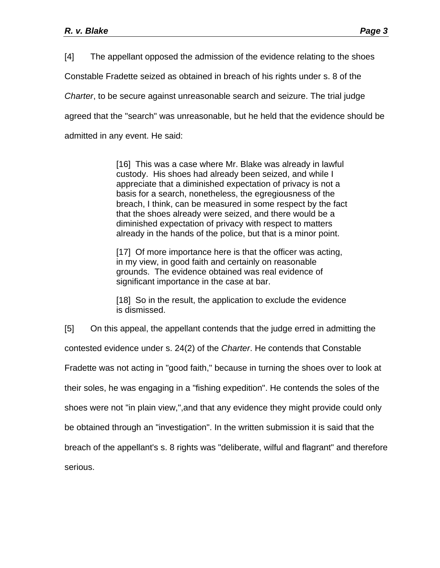[4] The appellant opposed the admission of the evidence relating to the shoes Constable Fradette seized as obtained in breach of his rights under s. 8 of the *Charter*, to be secure against unreasonable search and seizure. The trial judge agreed that the "search" was unreasonable, but he held that the evidence should be admitted in any event. He said:

> [16] This was a case where Mr. Blake was already in lawful custody. His shoes had already been seized, and while I appreciate that a diminished expectation of privacy is not a basis for a search, nonetheless, the egregiousness of the breach, I think, can be measured in some respect by the fact that the shoes already were seized, and there would be a diminished expectation of privacy with respect to matters already in the hands of the police, but that is a minor point.

[17] Of more importance here is that the officer was acting, in my view, in good faith and certainly on reasonable grounds. The evidence obtained was real evidence of significant importance in the case at bar.

[18] So in the result, the application to exclude the evidence is dismissed.

[5] On this appeal, the appellant contends that the judge erred in admitting the contested evidence under s. 24(2) of the *Charter*. He contends that Constable Fradette was not acting in "good faith," because in turning the shoes over to look at their soles, he was engaging in a "fishing expedition". He contends the soles of the shoes were not "in plain view,",and that any evidence they might provide could only be obtained through an "investigation". In the written submission it is said that the breach of the appellant's s. 8 rights was "deliberate, wilful and flagrant" and therefore serious.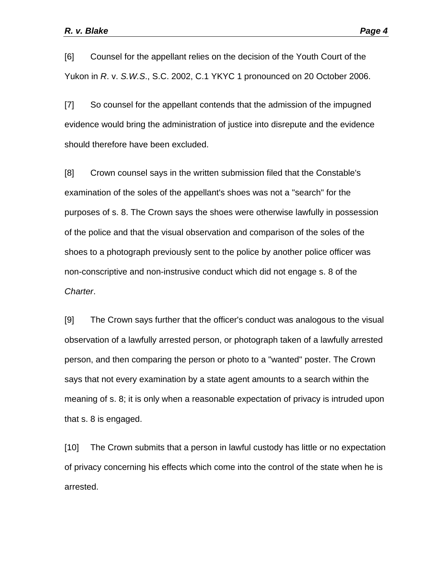[6] Counsel for the appellant relies on the decision of the Youth Court of the Yukon in *R*. v. *S.W.S*., S.C. 2002, C.1 YKYC 1 pronounced on 20 October 2006.

[7] So counsel for the appellant contends that the admission of the impugned evidence would bring the administration of justice into disrepute and the evidence should therefore have been excluded.

[8] Crown counsel says in the written submission filed that the Constable's examination of the soles of the appellant's shoes was not a "search" for the purposes of s. 8. The Crown says the shoes were otherwise lawfully in possession of the police and that the visual observation and comparison of the soles of the shoes to a photograph previously sent to the police by another police officer was non-conscriptive and non-instrusive conduct which did not engage s. 8 of the *Charter*.

[9] The Crown says further that the officer's conduct was analogous to the visual observation of a lawfully arrested person, or photograph taken of a lawfully arrested person, and then comparing the person or photo to a "wanted" poster. The Crown says that not every examination by a state agent amounts to a search within the meaning of s. 8; it is only when a reasonable expectation of privacy is intruded upon that s. 8 is engaged.

[10] The Crown submits that a person in lawful custody has little or no expectation of privacy concerning his effects which come into the control of the state when he is arrested.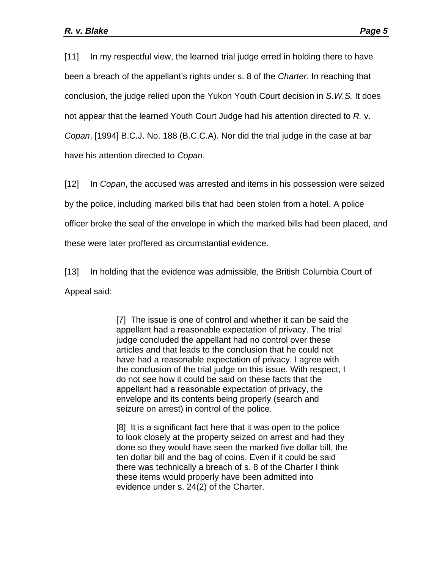[11] In my respectful view, the learned trial judge erred in holding there to have been a breach of the appellant's rights under s. 8 of the *Charter*. In reaching that conclusion, the judge relied upon the Yukon Youth Court decision in *S.W.S.* It does not appear that the learned Youth Court Judge had his attention directed to *R.* v. *Copan*, [1994] B.C.J. No. 188 (B.C.C.A). Nor did the trial judge in the case at bar have his attention directed to *Copan*.

[12] In *Copan*, the accused was arrested and items in his possession were seized by the police, including marked bills that had been stolen from a hotel. A police officer broke the seal of the envelope in which the marked bills had been placed, and these were later proffered as circumstantial evidence.

[13] In holding that the evidence was admissible, the British Columbia Court of Appeal said:

> [7] The issue is one of control and whether it can be said the appellant had a reasonable expectation of privacy. The trial judge concluded the appellant had no control over these articles and that leads to the conclusion that he could not have had a reasonable expectation of privacy. I agree with the conclusion of the trial judge on this issue. With respect, I do not see how it could be said on these facts that the appellant had a reasonable expectation of privacy, the envelope and its contents being properly (search and seizure on arrest) in control of the police.

> [8] It is a significant fact here that it was open to the police to look closely at the property seized on arrest and had they done so they would have seen the marked five dollar bill, the ten dollar bill and the bag of coins. Even if it could be said there was technically a breach of s. 8 of the Charter I think these items would properly have been admitted into evidence under s. 24(2) of the Charter.